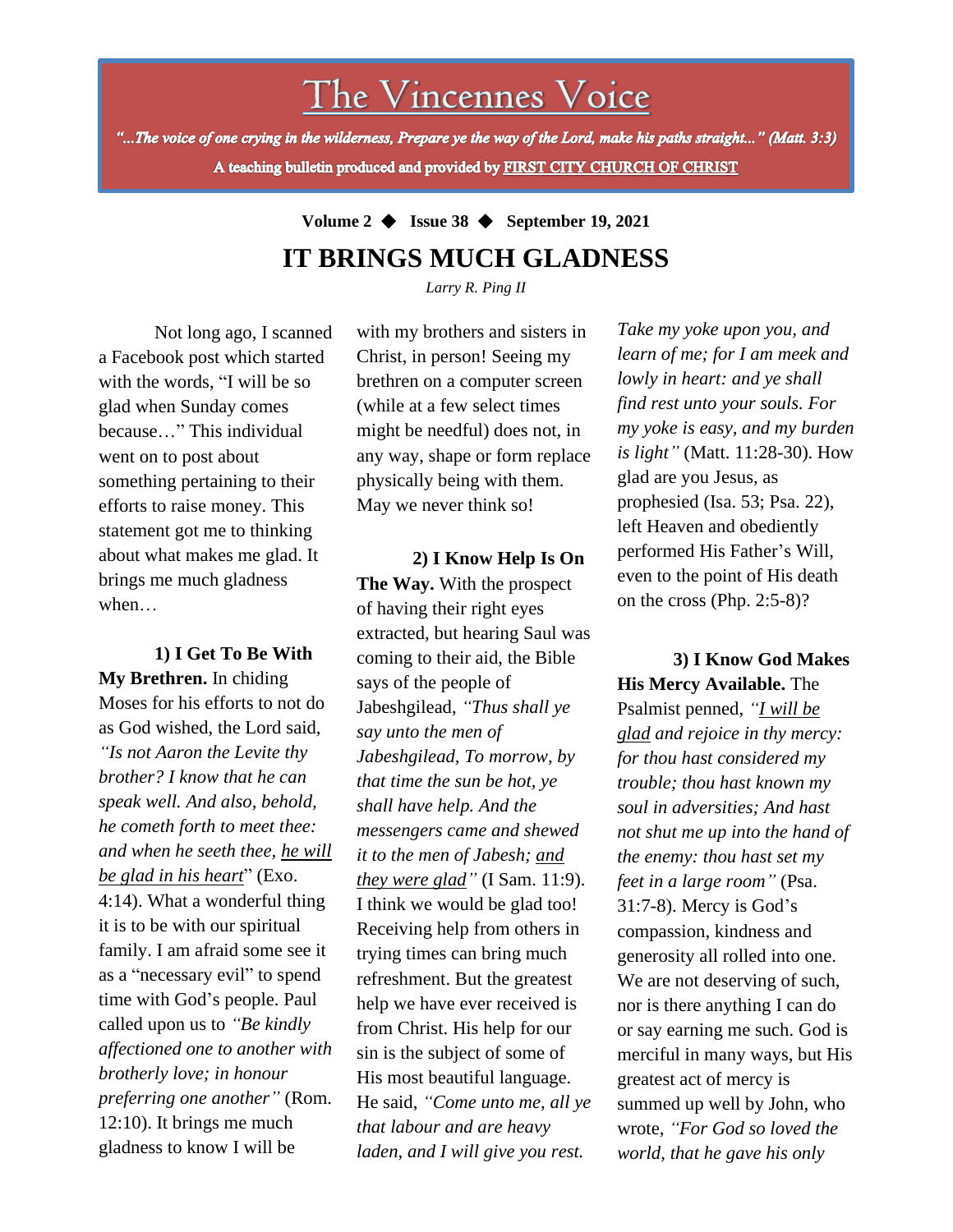# The Vincennes Voice

"...The voice of one crying in the wilderness, Prepare ye the way of the Lord, make his paths straight..." (Matt. 3:3) A teaching bulletin produced and provided by FIRST CITY CHURCH OF CHRIST

# **Volume 2** ◆ **Issue 38** ◆ **September 19, 2021 IT BRINGS MUCH GLADNESS**

*Larry R. Ping II*

Not long ago, I scanned a Facebook post which started with the words, "I will be so glad when Sunday comes because…" This individual went on to post about something pertaining to their efforts to raise money. This statement got me to thinking about what makes me glad. It brings me much gladness when…

*brotherly love; in honour* **1) I Get To Be With My Brethren.** In chiding Moses for his efforts to not do as God wished, the Lord said, *"Is not Aaron the Levite thy brother? I know that he can speak well. And also, behold, he cometh forth to meet thee: and when he seeth thee, he will be glad in his heart*" (Exo. 4:14). What a wonderful thing it is to be with our spiritual family. I am afraid some see it as a "necessary evil" to spend time with God's people. Paul called upon us to *"Be kindly affectioned one to another with preferring one another"* (Rom. 12:10). It brings me much gladness to know I will be

with my brothers and sisters in Christ, in person! Seeing my brethren on a computer screen (while at a few select times might be needful) does not, in any way, shape or form replace physically being with them. May we never think so!

**2) I Know Help Is On The Way.** With the prospect of having their right eyes extracted, but hearing Saul was coming to their aid, the Bible says of the people of Jabeshgilead, *"Thus shall ye say unto the men of Jabeshgilead, To morrow, by that time the sun be hot, ye shall have help. And the messengers came and shewed it to the men of Jabesh; and they were glad"* (I Sam. 11:9). I think we would be glad too! Receiving help from others in trying times can bring much refreshment. But the greatest help we have ever received is from Christ. His help for our sin is the subject of some of His most beautiful language. He said, *"Come unto me, all ye that labour and are heavy laden, and I will give you rest.*

*Take my yoke upon you, and learn of me; for I am meek and lowly in heart: and ye shall find rest unto your souls. For my yoke is easy, and my burden is light"* (Matt. 11:28-30). How glad are you Jesus, as prophesied (Isa. 53; Psa. 22), left Heaven and obediently performed His Father's Will, even to the point of His death on the cross (Php. 2:5-8)?

**3) I Know God Makes His Mercy Available.** The Psalmist penned, *"I will be glad and rejoice in thy mercy: for thou hast considered my trouble; thou hast known my soul in adversities; And hast not shut me up into the hand of the enemy: thou hast set my feet in a large room"* (Psa. 31:7-8). Mercy is God's compassion, kindness and generosity all rolled into one. We are not deserving of such, nor is there anything I can do or say earning me such. God is merciful in many ways, but His greatest act of mercy is summed up well by John, who wrote, *"For God so loved the world, that he gave his only*